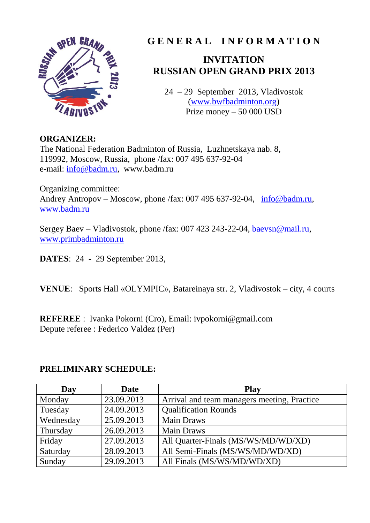

# **G E N E R A L I N F O R M A T I O N**

# **INVITATION RUSSIAN OPEN GRAND PRIX 2013**

24 – 29 September 2013, Vladivostok [\(www.bwfbadminton.org\)](http://www.bwfbadminton.org/) Prize money – 50 000 USD

#### **ORGANIZER:**

The National Federation Badminton of Russia, Luzhnetskaya nab. 8, 119992, Moscow, Russia, phone /fax: 007 495 637-92-04 e-mail: [info@badm.ru,](mailto:info@badm.ru) www.badm.ru

Organizing committee: Andrey Antropov – Moscow, phone /fax: 007 495 637-92-04, [info@badm.ru,](mailto:info@badm.ru) [www.badm.ru](http://www.badm.ru/)

Sergey Baev – Vladivostok, phone /fax: 007 423 243-22-04, [baevsn@mail.ru,](mailto:baevsn@mail.ru) [www.primbadminton.ru](http://www.primbadminton.ru/)

**DATES**: 24 - 29 September 2013,

**VENUE**: Sports Hall «OLYMPIC», Batareinaya str. 2, Vladivostok – city, 4 courts

**REFEREE** : Ivanka Pokorni (Cro), Email: ivpokorni@gmail.com Depute referee : Federico Valdez (Per)

#### **PRELIMINARY SCHEDULE:**

| Day       | <b>Date</b> | <b>Play</b>                                 |
|-----------|-------------|---------------------------------------------|
| Monday    | 23.09.2013  | Arrival and team managers meeting, Practice |
| Tuesday   | 24.09.2013  | <b>Qualification Rounds</b>                 |
| Wednesday | 25.09.2013  | <b>Main Draws</b>                           |
| Thursday  | 26.09.2013  | <b>Main Draws</b>                           |
| Friday    | 27.09.2013  | All Quarter-Finals (MS/WS/MD/WD/XD)         |
| Saturday  | 28.09.2013  | All Semi-Finals (MS/WS/MD/WD/XD)            |
| Sunday    | 29.09.2013  | All Finals (MS/WS/MD/WD/XD)                 |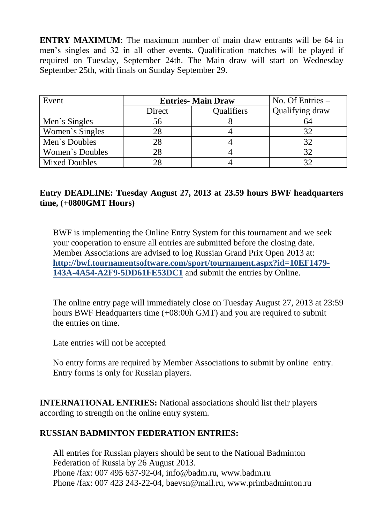**ENTRY MAXIMUM**: The maximum number of main draw entrants will be 64 in men's singles and 32 in all other events. Qualification matches will be played if required on Tuesday, September 24th. The Main draw will start on Wednesday September 25th, with finals on Sunday September 29.

| Event                | <b>Entries-Main Draw</b> | No. Of Entries $-$ |                 |
|----------------------|--------------------------|--------------------|-----------------|
|                      | Direct                   | Qualifiers         | Qualifying draw |
| Men's Singles        | 56                       |                    | 64              |
| Women's Singles      | 28                       |                    | 32              |
| Men's Doubles        | 28                       |                    | 32              |
| Women's Doubles      | 28                       |                    |                 |
| <b>Mixed Doubles</b> | 28                       |                    |                 |

#### **Entry DEADLINE: Tuesday August 27, 2013 at 23.59 hours BWF headquarters time, (+0800GMT Hours)**

BWF is implementing the Online Entry System for this tournament and we seek your cooperation to ensure all entries are submitted before the closing date. Member Associations are advised to log Russian Grand Prix Open 2013 at: **http://bwf.tournamentsoftware.com/sport/tournament.aspx?id=10EF1479- 143A-4A54-A2F9-5DD61FE53DC1** and submit the entries by Online.

The online entry page will immediately close on Tuesday August 27, 2013 at 23:59 hours BWF Headquarters time (+08:00h GMT) and you are required to submit the entries on time.

Late entries will not be accepted

No entry forms are required by Member Associations to submit by online entry. Entry forms is only for Russian players.

**INTERNATIONAL ENTRIES:** National associations should list their players according to strength on the online entry system.

## **RUSSIAN BADMINTON FEDERATION ENTRIES:**

All entries for Russian players should be sent to the National Badminton Federation of Russia by 26 August 2013. Phone /fax: 007 495 637-92-04, info@badm.ru, www.badm.ru Phone /fax: 007 423 243-22-04, baevsn@mail.ru, www.primbadminton.ru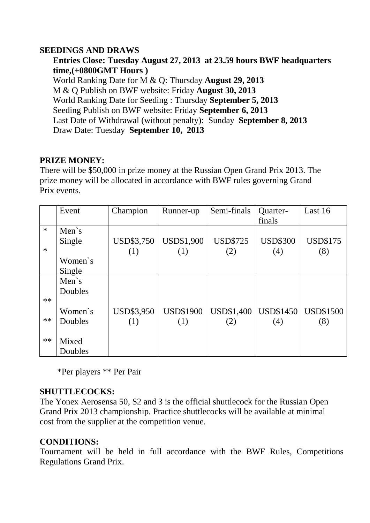#### **SEEDINGS AND DRAWS**

**Entries Close: Tuesday August 27, 2013 at 23.59 hours BWF headquarters time,(+0800GMT Hours )** World Ranking Date for M & Q: Thursday **August 29, 2013** M & Q Publish on BWF website: Friday **August 30, 2013** World Ranking Date for Seeding : Thursday **September 5, 2013** Seeding Publish on BWF website: Friday **September 6, 2013** Last Date of Withdrawal (without penalty): Sunday **September 8, 2013** Draw Date: Tuesday **September 10, 2013**

## **PRIZE MONEY:**

There will be \$50,000 in prize money at the Russian Open Grand Prix 2013. The prize money will be allocated in accordance with BWF rules governing Grand Prix events.

|        | Event        | Champion          | Runner-up         | Semi-finals       | <b>Quarter-</b><br>finals | Last 16          |
|--------|--------------|-------------------|-------------------|-------------------|---------------------------|------------------|
| $\ast$ | Men's        |                   |                   |                   |                           |                  |
|        | Single       | USD\$3,750        | <b>USD\$1,900</b> | <b>USD\$725</b>   | <b>USD\$300</b>           | <b>USD\$175</b>  |
| $\ast$ |              | (1)               | (1)               | (2)               | (4)                       | (8)              |
|        | Women's      |                   |                   |                   |                           |                  |
|        | Single       |                   |                   |                   |                           |                  |
|        | Men $\sin$ s |                   |                   |                   |                           |                  |
|        | Doubles      |                   |                   |                   |                           |                  |
| $**$   |              |                   |                   |                   |                           |                  |
|        | Women's      | <b>USD\$3,950</b> | <b>USD\$1900</b>  | <b>USD\$1,400</b> | <b>USD\$1450</b>          | <b>USD\$1500</b> |
| $**$   | Doubles      | (1)               | (1)               | (2)               | (4)                       | (8)              |
|        |              |                   |                   |                   |                           |                  |
| $**$   | Mixed        |                   |                   |                   |                           |                  |
|        | Doubles      |                   |                   |                   |                           |                  |

\*Per players \*\* Per Pair

## **SHUTTLECOCKS:**

The Yonex Aerosensa 50, S2 and 3 is the official shuttlecock for the Russian Open Grand Prix 2013 championship. Practice shuttlecocks will be available at minimal cost from the supplier at the competition venue.

## **CONDITIONS:**

Tournament will be held in full accordance with the BWF Rules, Competitions Regulations Grand Prix.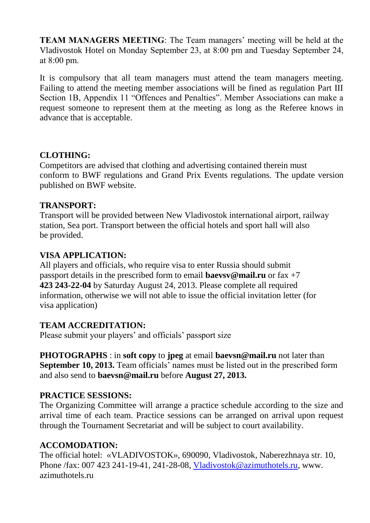**TEAM MANAGERS MEETING**: The Team managers' meeting will be held at the Vladivostok Hotel on Monday September 23, at 8:00 pm and Tuesday September 24, at 8:00 pm.

It is compulsory that all team managers must attend the team managers meeting. Failing to attend the meeting member associations will be fined as regulation Part III Section 1B, Appendix 11 "Offences and Penalties". Member Associations can make a request someone to represent them at the meeting as long as the Referee knows in advance that is acceptable.

#### **CLOTHING:**

Competitors are advised that clothing and advertising contained therein must conform to BWF regulations and Grand Prix Events regulations. The update version published on BWF website.

## **TRANSPORT:**

Transport will be provided between New Vladivostok international airport, railway station, Sea port. Transport between the official hotels and sport hall will also be provided.

## **VISA APPLICATION:**

All players and officials, who require visa to enter Russia should submit passport details in the prescribed form to email **baevsv@mail.ru** or fax +7 **423 243-22-04** by Saturday August 24, 2013. Please complete all required information, otherwise we will not able to issue the official invitation letter (for visa application)

## **TEAM ACCREDITATION:**

Please submit your players' and officials' passport size

**PHOTOGRAPHS** : in **soft copy** to **jpeg** at email **baevsn@mail.ru** not later than **September 10, 2013.** Team officials' names must be listed out in the prescribed form and also send to **baevsn@mail.ru** before **August 27, 2013.**

## **PRACTICE SESSIONS:**

The Organizing Committee will arrange a practice schedule according to the size and arrival time of each team. Practice sessions can be arranged on arrival upon request through the Tournament Secretariat and will be subject to court availability.

## **ACCOMODATION:**

The official hotel: «VLADIVOSTOK», 690090, Vladivostok, Naberezhnaya str. 10, Phone /fax: 007 423 241-19-41, 241-28-08, [Vladivostok@azimuthotels.ru,](mailto:Vladivostok@azimuthotels.ru) www. azimuthotels.ru